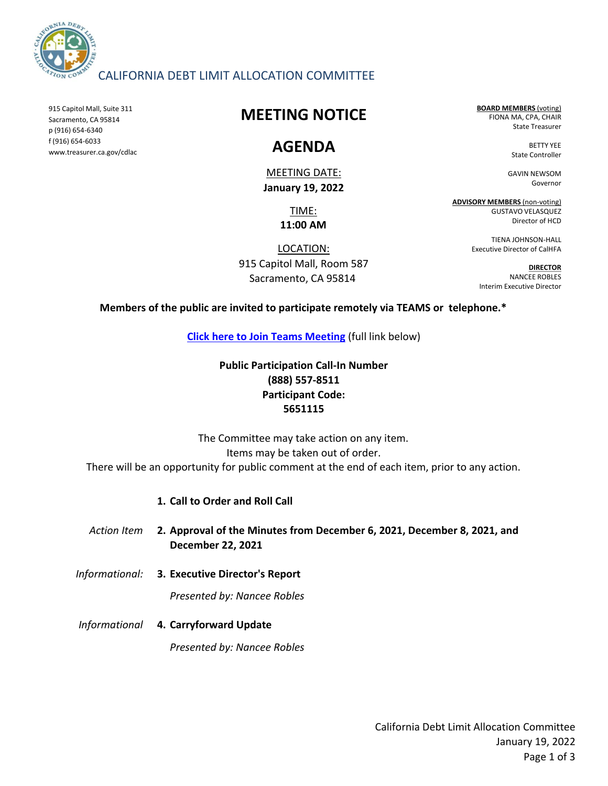

### CALIFORNIA DEBT LIMIT ALLOCATION COMMITTEE

915 Capitol Mall, Suite 311 Sacramento, CA 95814 p (916) 654-6340 f (916) 654-6033 www.treasurer.ca.gov/cdlac

# **MEETING NOTICE**

# **AGENDA**

MEETING DATE: **January 19, 2022**

> TIME: **11:00 AM**

LOCATION: 915 Capitol Mall, Room 587 Sacramento, CA 95814

**BOARD MEMBERS** (voting) FIONA MA, CPA, CHAIR State Treasurer

> BETTY YEE State Controller

GAVIN NEWSOM Governor

**ADVISORY MEMBERS** (non-voting) GUSTAVO VELASQUEZ Director of HCD

> TIENA JOHNSON-HALL Executive Director of CalHFA

**DIRECTOR** NANCEE ROBLES Interim Executive Director

**Members of the public are invited to participate remotely via TEAMS or telephone.\***

**[Click here to Join Teams Meeting](https://teams.microsoft.com/l/meetup-join/19%3ameeting_OTA5Njc3NmMtNjY1My00ZmFkLWE1MWYtNGJlNjAxYWY5ZjZi%40thread.v2/0?context=%7b%22Tid%22%3a%223bee5c8a-6cb4-4c10-a77b-cd2eaeb7534e%22%2c%22Oid%22%3a%226f508fe0-4cf8-4f2f-9e3d-4a9f8e1c293f%22%7d)** (full link below)

## **Public Participation Call-In Number (888) 557-8511 Participant Code: 5651115**

There will be an opportunity for public comment at the end of each item, prior to any action. Items may be taken out of order. The Committee may take action on any item.

### **1. Call to Order and Roll Call**

*Action Item* **2. Approval of the Minutes from December 6, 2021, December 8, 2021, and December 22, 2021**

*Informational:* **3. Executive Director's Report**

*Presented by: Nancee Robles*

*Informational* **4. Carryforward Update**

*Presented by: Nancee Robles*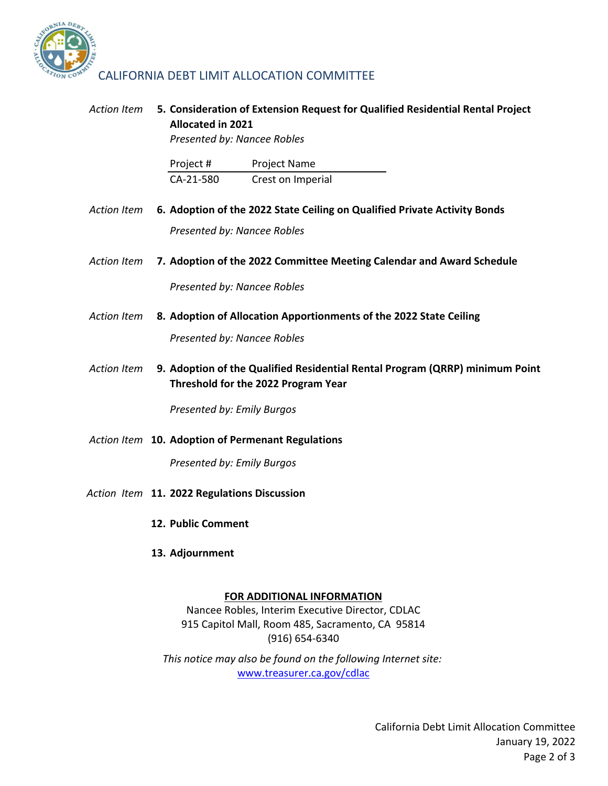

#### *Action Item* **5. Consideration of Extension Request for Qualified Residential Rental Project Allocated in 2021**

*Presented by: Nancee Robles*

| Project # | <b>Project Name</b> |
|-----------|---------------------|
| CA-21-580 | Crest on Imperial   |

- Action Item **6. Adoption of the 2022 State Ceiling on Qualified Private Activity Bonds** *Presented by: Nancee Robles*
- *Action Item* **7. Adoption of the 2022 Committee Meeting Calendar and Award Schedule**

*Presented by: Nancee Robles*

*Action Item* **8. Adoption of Allocation Apportionments of the 2022 State Ceiling**

*Presented by: Nancee Robles*

*Action Item* **9. Adoption of the Qualified Residential Rental Program (QRRP) minimum Point Threshold for the 2022 Program Year**

*Presented by: Emily Burgos*

*Action Item* **10. Adoption of Permenant Regulations**

*Presented by: Emily Burgos*

- *Action Item* **11. 2022 Regulations Discussion**
	- **12. Public Comment**
	- **13. Adjournment**

#### **FOR ADDITIONAL INFORMATION**

Nancee Robles, Interim Executive Director, CDLAC 915 Capitol Mall, Room 485, Sacramento, CA 95814 (916) 654-6340

www.treasurer.ca.gov/cdlac *[This notice may](http://www.treasurer.ca.gov/cdlac) also be found on the following Internet site:*